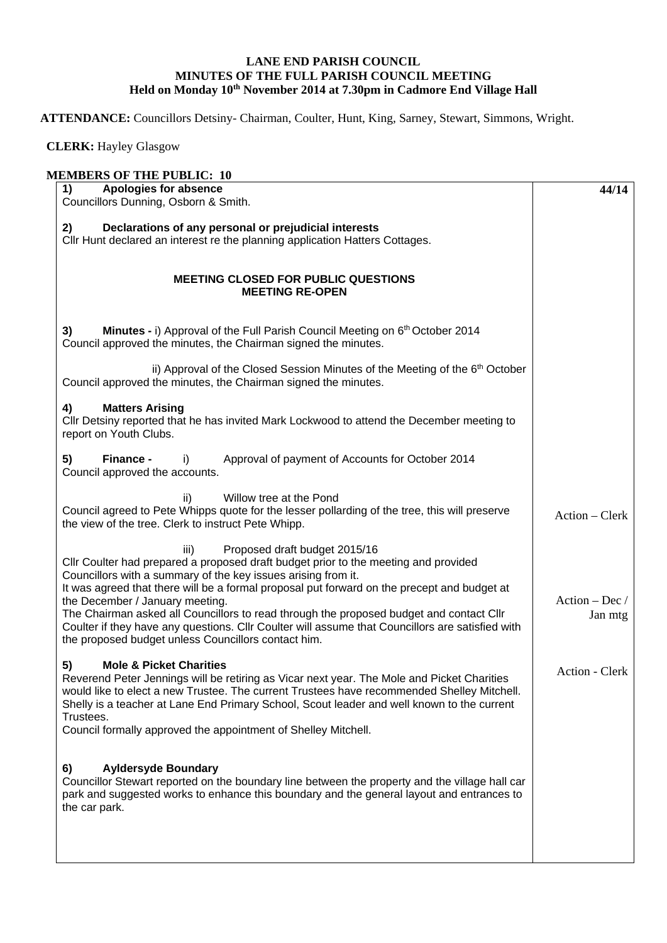## **LANE END PARISH COUNCIL MINUTES OF THE FULL PARISH COUNCIL MEETING Held on Monday 10th November 2014 at 7.30pm in Cadmore End Village Hall**

**ATTENDANCE:** Councillors Detsiny- Chairman, Coulter, Hunt, King, Sarney, Stewart, Simmons, Wright.

 **CLERK:** Hayley Glasgow

## **MEMBERS OF THE PUBLIC: 10 1) Apologies for absence**  Councillors Dunning, Osborn & Smith. **2) Declarations of any personal or prejudicial interests**  Cllr Hunt declared an interest re the planning application Hatters Cottages. **MEETING CLOSED FOR PUBLIC QUESTIONS MEETING RE-OPEN 3) Minutes -** i) Approval of the Full Parish Council Meeting on 6<sup>th</sup> October 2014 Council approved the minutes, the Chairman signed the minutes. ii) Approval of the Closed Session Minutes of the Meeting of the  $6<sup>th</sup>$  October Council approved the minutes, the Chairman signed the minutes. **4) Matters Arising**  Cllr Detsiny reported that he has invited Mark Lockwood to attend the December meeting to report on Youth Clubs. **5) Finance -** i)Approval of payment of Accounts for October 2014 Council approved the accounts. ii) Willow tree at the Pond Council agreed to Pete Whipps quote for the lesser pollarding of the tree, this will preserve the view of the tree. Clerk to instruct Pete Whipp. iii) Proposed draft budget 2015/16 Cllr Coulter had prepared a proposed draft budget prior to the meeting and provided Councillors with a summary of the key issues arising from it. It was agreed that there will be a formal proposal put forward on the precept and budget at the December / January meeting. The Chairman asked all Councillors to read through the proposed budget and contact Cllr Coulter if they have any questions. Cllr Coulter will assume that Councillors are satisfied with the proposed budget unless Councillors contact him. **5) Mole & Picket Charities** Reverend Peter Jennings will be retiring as Vicar next year. The Mole and Picket Charities would like to elect a new Trustee. The current Trustees have recommended Shelley Mitchell. Shelly is a teacher at Lane End Primary School, Scout leader and well known to the current Trustees. Council formally approved the appointment of Shelley Mitchell. **6) Ayldersyde Boundary** Councillor Stewart reported on the boundary line between the property and the village hall car park and suggested works to enhance this boundary and the general layout and entrances to the car park. **44/14** Action – Clerk Action – Dec / Jan mtg Action - Clerk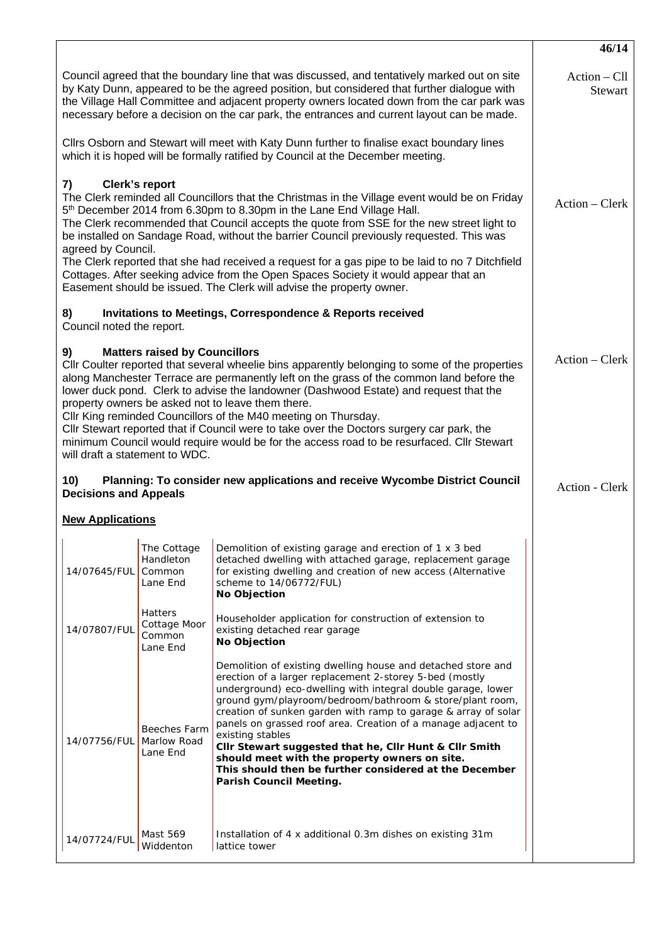|                                                                                                                                                                                                                                                                                                                                                                                                                                                                                                                                                                                                                                                                                      |                                                      |                                                                                                                                                                                                                                                                                                                                                                                                                                                                                                                                                                                                                   | 46/14 |  |  |  |
|--------------------------------------------------------------------------------------------------------------------------------------------------------------------------------------------------------------------------------------------------------------------------------------------------------------------------------------------------------------------------------------------------------------------------------------------------------------------------------------------------------------------------------------------------------------------------------------------------------------------------------------------------------------------------------------|------------------------------------------------------|-------------------------------------------------------------------------------------------------------------------------------------------------------------------------------------------------------------------------------------------------------------------------------------------------------------------------------------------------------------------------------------------------------------------------------------------------------------------------------------------------------------------------------------------------------------------------------------------------------------------|-------|--|--|--|
| Council agreed that the boundary line that was discussed, and tentatively marked out on site<br>by Katy Dunn, appeared to be the agreed position, but considered that further dialogue with<br>the Village Hall Committee and adjacent property owners located down from the car park was<br>necessary before a decision on the car park, the entrances and current layout can be made.                                                                                                                                                                                                                                                                                              | $Action - Cll$<br><b>Stewart</b>                     |                                                                                                                                                                                                                                                                                                                                                                                                                                                                                                                                                                                                                   |       |  |  |  |
| CIIrs Osborn and Stewart will meet with Katy Dunn further to finalise exact boundary lines<br>which it is hoped will be formally ratified by Council at the December meeting.                                                                                                                                                                                                                                                                                                                                                                                                                                                                                                        |                                                      |                                                                                                                                                                                                                                                                                                                                                                                                                                                                                                                                                                                                                   |       |  |  |  |
| Clerk's report<br>7)<br>The Clerk reminded all Councillors that the Christmas in the Village event would be on Friday<br>5 <sup>th</sup> December 2014 from 6.30pm to 8.30pm in the Lane End Village Hall.<br>The Clerk recommended that Council accepts the quote from SSE for the new street light to<br>be installed on Sandage Road, without the barrier Council previously requested. This was<br>agreed by Council.<br>The Clerk reported that she had received a request for a gas pipe to be laid to no 7 Ditchfield                                                                                                                                                         | Action – Clerk                                       |                                                                                                                                                                                                                                                                                                                                                                                                                                                                                                                                                                                                                   |       |  |  |  |
| Cottages. After seeking advice from the Open Spaces Society it would appear that an<br>Easement should be issued. The Clerk will advise the property owner.                                                                                                                                                                                                                                                                                                                                                                                                                                                                                                                          |                                                      |                                                                                                                                                                                                                                                                                                                                                                                                                                                                                                                                                                                                                   |       |  |  |  |
| <b>Invitations to Meetings, Correspondence &amp; Reports received</b><br>8)<br>Council noted the report.                                                                                                                                                                                                                                                                                                                                                                                                                                                                                                                                                                             |                                                      |                                                                                                                                                                                                                                                                                                                                                                                                                                                                                                                                                                                                                   |       |  |  |  |
| <b>Matters raised by Councillors</b><br>9)<br>Cllr Coulter reported that several wheelie bins apparently belonging to some of the properties<br>along Manchester Terrace are permanently left on the grass of the common land before the<br>lower duck pond. Clerk to advise the landowner (Dashwood Estate) and request that the<br>property owners be asked not to leave them there.<br>Cllr King reminded Councillors of the M40 meeting on Thursday.<br>CIIr Stewart reported that if Council were to take over the Doctors surgery car park, the<br>minimum Council would require would be for the access road to be resurfaced. Cllr Stewart<br>will draft a statement to WDC. | Action – Clerk                                       |                                                                                                                                                                                                                                                                                                                                                                                                                                                                                                                                                                                                                   |       |  |  |  |
| 10)<br>Planning: To consider new applications and receive Wycombe District Council<br><b>Decisions and Appeals</b>                                                                                                                                                                                                                                                                                                                                                                                                                                                                                                                                                                   | Action - Clerk                                       |                                                                                                                                                                                                                                                                                                                                                                                                                                                                                                                                                                                                                   |       |  |  |  |
| <b>New Applications</b>                                                                                                                                                                                                                                                                                                                                                                                                                                                                                                                                                                                                                                                              |                                                      |                                                                                                                                                                                                                                                                                                                                                                                                                                                                                                                                                                                                                   |       |  |  |  |
| 14/07645/FUL                                                                                                                                                                                                                                                                                                                                                                                                                                                                                                                                                                                                                                                                         | Handleton<br>Common<br>Lane End                      | The Cottage   Demolition of existing garage and erection of 1 x 3 bed<br>detached dwelling with attached garage, replacement garage<br>for existing dwelling and creation of new access (Alternative<br>scheme to 14/06772/FUL)<br>No Objection                                                                                                                                                                                                                                                                                                                                                                   |       |  |  |  |
| 14/07807/FUL                                                                                                                                                                                                                                                                                                                                                                                                                                                                                                                                                                                                                                                                         | <b>Hatters</b><br>Cottage Moor<br>Common<br>Lane End | Householder application for construction of extension to<br>existing detached rear garage<br>No Objection                                                                                                                                                                                                                                                                                                                                                                                                                                                                                                         |       |  |  |  |
| 14/07756/FUL                                                                                                                                                                                                                                                                                                                                                                                                                                                                                                                                                                                                                                                                         | Beeches Farm<br>Marlow Road<br>Lane End              | Demolition of existing dwelling house and detached store and<br>erection of a larger replacement 2-storey 5-bed (mostly<br>underground) eco-dwelling with integral double garage, lower<br>ground gym/playroom/bedroom/bathroom & store/plant room,<br>creation of sunken garden with ramp to garage & array of solar<br>panels on grassed roof area. Creation of a manage adjacent to<br>existing stables<br>Cllr Stewart suggested that he, Cllr Hunt & Cllr Smith<br>should meet with the property owners on site.<br>This should then be further considered at the December<br><b>Parish Council Meeting.</b> |       |  |  |  |
| 14/07724/FUL                                                                                                                                                                                                                                                                                                                                                                                                                                                                                                                                                                                                                                                                         | Mast 569<br>Widdenton                                | Installation of 4 x additional 0.3m dishes on existing 31m<br>lattice tower                                                                                                                                                                                                                                                                                                                                                                                                                                                                                                                                       |       |  |  |  |